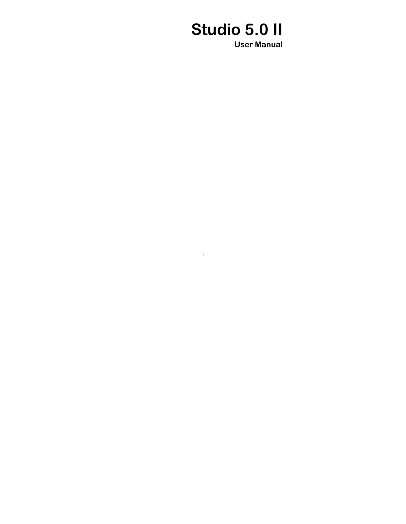# **Studio 5.0 II**

**1**

**User Manual**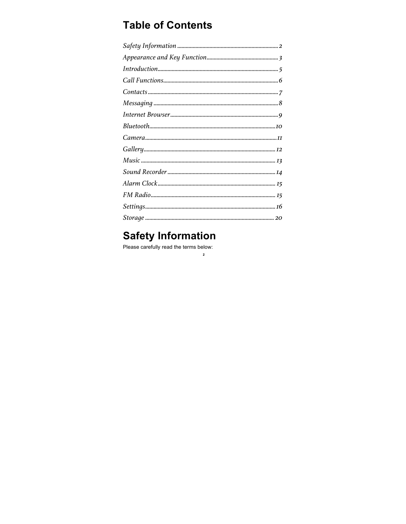## **Table of Contents**

 $\mathbf{2}$ 

## **Safety Information**

Please carefully read the terms below: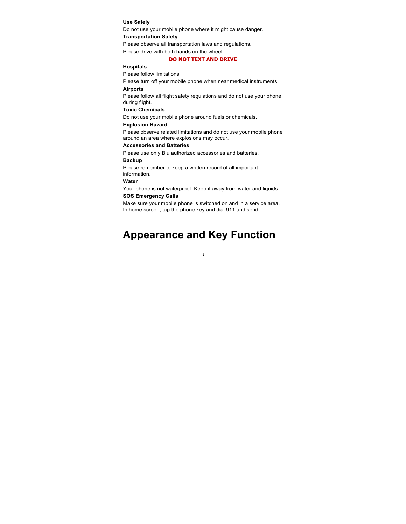#### **Use Safely**

Do not use your mobile phone where it might cause danger.

### **Transportation Safety**

Please observe all transportation laws and regulations. Please drive with both hands on the wheel.

#### **DO NOT TEXT AND DRIVE**

#### **Hospitals**

Please follow limitations.

Please turn off your mobile phone when near medical instruments.

#### **Airports**

Please follow all flight safety regulations and do not use your phone during flight.

#### **Toxic Chemicals**

Do not use your mobile phone around fuels or chemicals.

#### **Explosion Hazard**

Please observe related limitations and do not use your mobile phone around an area where explosions may occur.

#### **Accessories and Batteries**

Please use only Blu authorized accessories and batteries.

### **Backup**

Please remember to keep a written record of all important information.

#### **Water**

Your phone is not waterproof. Keep it away from water and liquids. **SOS Emergency Calls**

Make sure your mobile phone is switched on and in a service area. In home screen, tap the phone key and dial 911 and send.

## **Appearance and Key Function**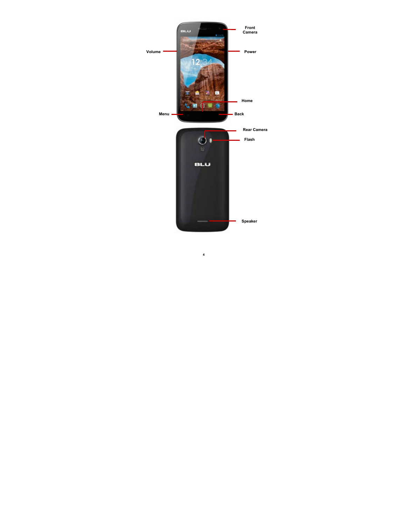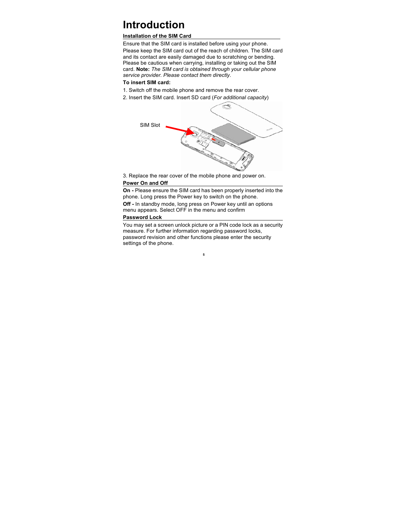## **Introduction**

### **Installation of the SIM Card**

Ensure that the SIM card is installed before using your phone. Please keep the SIM card out of the reach of children. The SIM card and its contact are easily damaged due to scratching or bending. Please be cautious when carrying, installing or taking out the SIM card. **Note:** *The SIM card is obtained through your cellular phone service provider. Please contact them directly*.

**To insert SIM card:**

- 1. Switch off the mobile phone and remove the rear cover.
- 2. Insert the SIM card. Insert SD card (*For additional capacity*)



3. Replace the rear cover of the mobile phone and power on. **Power On and Off** 

**On -** Please ensure the SIM card has been properly inserted into the phone. Long press the Power key to switch on the phone.

**Off -** In standby mode, long press on Power key until an options menu appears. Select OFF in the menu and confirm

### **Password Lock**

You may set a screen unlock picture or a PIN code lock as a security measure. For further information regarding password locks, password revision and other functions please enter the security settings of the phone.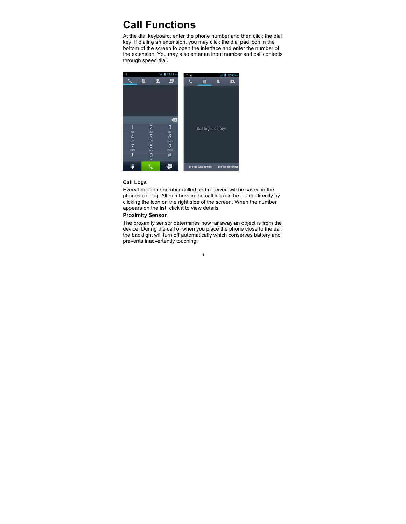## **Call Functions**

At the dial keyboard, enter the phone number and then click the dial key. If dialing an extension, you may click the dial pad icon in the bottom of the screen to open the interface and enter the number of the extension. You may also enter an input number and call contacts through speed dial.



### **Call Logs**

Every telephone number called and received will be saved in the phones call log. All numbers in the call log can be dialed directly by clicking the icon on the right side of the screen. When the number appears on the list, click it to view details.

### **Proximity Sensor**

The proximity sensor determines how far away an object is from the device. During the call or when you place the phone close to the ear, the backlight will turn off automatically which conserves battery and prevents inadvertently touching.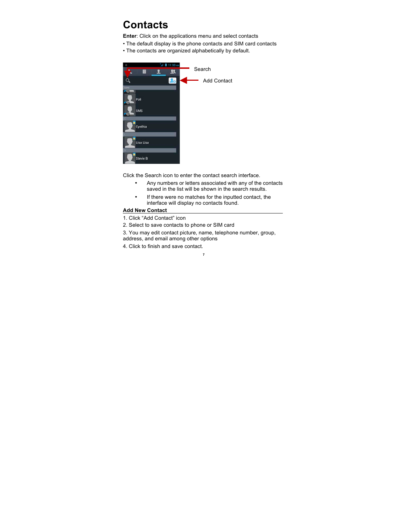## **Contacts**

**Enter**: Click on the applications menu and select contacts

- The default display is the phone contacts and SIM card contacts
- The contacts are organized alphabetically by default.



Click the Search icon to enter the contact search interface.

- Any numbers or letters associated with any of the contacts saved in the list will be shown in the search results.
- If there were no matches for the inputted contact, the interface will display no contacts found.

### **Add New Contact**

1. Click "Add Contact" icon

- 2. Select to save contacts to phone or SIM card
- 3. You may edit contact picture, name, telephone number, group,

- address, and email among other options
- 4. Click to finish and save contact.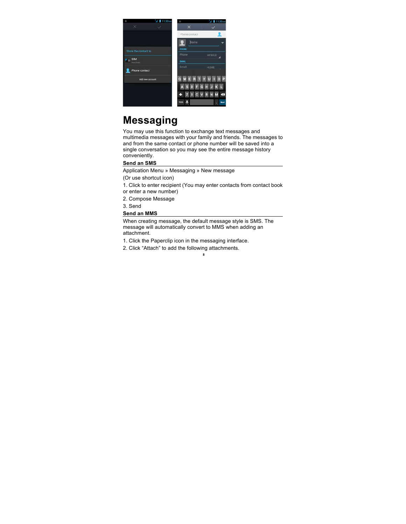

## **Messaging**

You may use this function to exchange text messages and multimedia messages with your family and friends. The messages to and from the same contact or phone number will be saved into a single conversation so you may see the entire message history conveniently.

### **Send an SMS**

Application Menu » Messaging » New message

(Or use shortcut icon)

1. Click to enter recipient (You may enter contacts from contact book or enter a new number)

2. Compose Message

3. Send

#### **Send an MMS**

When creating message, the default message style is SMS. The message will automatically convert to MMS when adding an attachment.

**8**

1. Click the Paperclip icon in the messaging interface.

2. Click "Attach" to add the following attachments.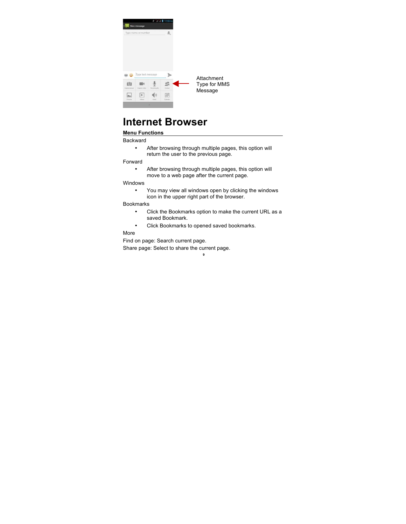

Attachment Type for MMS Message

## **Internet Browser**

### **Menu Functions**

Backward

- After browsing through multiple pages, this option will return the user to the previous page.
- Forward
	- After browsing through multiple pages, this option will move to a web page after the current page.

Windows

• You may view all windows open by clicking the windows icon in the upper right part of the browser.

Bookmarks

- Click the Bookmarks option to make the current URL as a saved Bookmark.
- Click Bookmarks to opened saved bookmarks.

**9**

More

Find on page: Search current page.

Share page: Select to share the current page.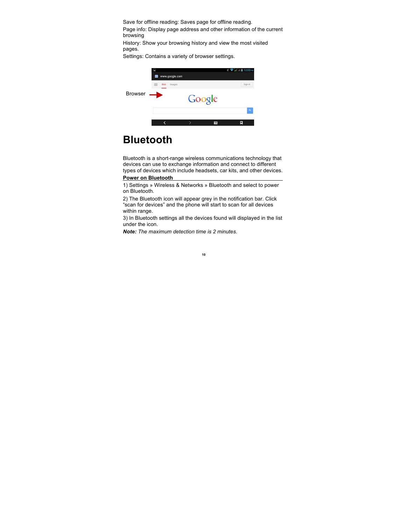Save for offline reading: Saves page for offline reading.

Page info: Display page address and other information of the current browsing

History: Show your browsing history and view the most visited pages.

Settings: Contains a variety of browser settings.



## **Bluetooth**

Bluetooth is a short-range wireless communications technology that devices can use to exchange information and connect to different types of devices which include headsets, car kits, and other devices.

### **Power on Bluetooth**

1) Settings » Wireless & Networks » Bluetooth and select to power on Bluetooth.

2) The Bluetooth icon will appear grey in the notification bar. Click "scan for devices" and the phone will start to scan for all devices within range.

3) In Bluetooth settings all the devices found will displayed in the list under the icon.

*Note: The maximum detection time is 2 minutes.*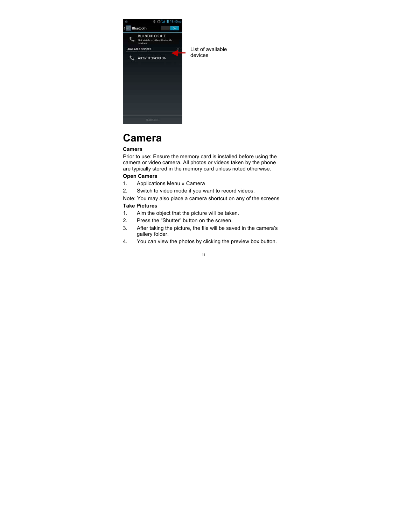

List of available devices

## **Camera**

### **Camera**

Prior to use: Ensure the memory card is installed before using the camera or video camera. All photos or videos taken by the phone are typically stored in the memory card unless noted otherwise.

### **Open Camera**

- 1. Applications Menu » Camera
- 2. Switch to video mode if you want to record videos.

Note: You may also place a camera shortcut on any of the screens **Take Pictures**

- 1. Aim the object that the picture will be taken.
- 2. Press the "Shutter" button on the screen.
- 3. After taking the picture, the file will be saved in the camera's gallery folder.
- 4. You can view the photos by clicking the preview box button.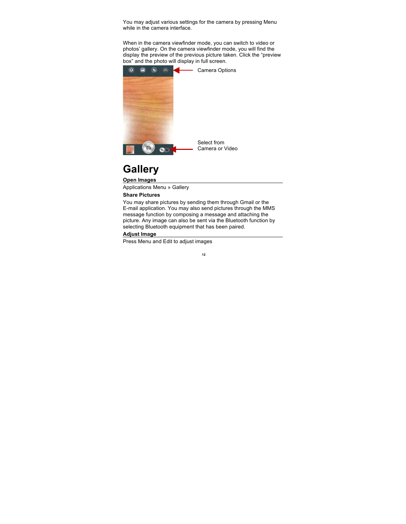You may adjust various settings for the camera by pressing Menu while in the camera interface.

When in the camera viewfinder mode, you can switch to video or photos' gallery. On the camera viewfinder mode, you will find the display the preview of the previous picture taken. Click the "preview box" and the photo will display in full screen.



## **Gallery**

### **Open Images**

Applications Menu » Gallery **Share Pictures**

You may share pictures by sending them through Gmail or the E-mail application. You may also send pictures through the MMS message function by composing a message and attaching the picture. Any image can also be sent via the Bluetooth function by selecting Bluetooth equipment that has been paired.

### **Adjust Image**

Press Menu and Edit to adjust images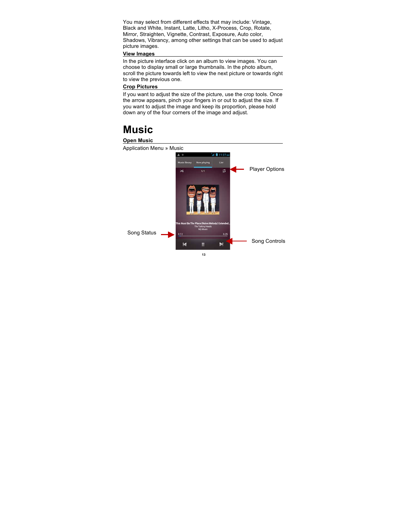You may select from different effects that may include: Vintage, Black and White, Instant, Latte, Litho, X-Process, Crop, Rotate, Mirror, Straighten, Vignette, Contrast, Exposure, Auto color, Shadows, Vibrancy, among other settings that can be used to adjust picture images.

#### **View Images**

In the picture interface click on an album to view images. You can choose to display small or large thumbnails. In the photo album, scroll the picture towards left to view the next picture or towards right to view the previous one.

#### **Crop Pictures**

If you want to adjust the size of the picture, use the crop tools. Once the arrow appears, pinch your fingers in or out to adjust the size. If you want to adjust the image and keep its proportion, please hold down any of the four corners of the image and adjust.

## **Music**

### **Open Music**  Application Menu » Music  $11.27$ Player Options $\boldsymbol{\sharp}$ ×.  $\overline{1}/1$ Song Status Song Controls  $\blacktriangleright$  $\blacksquare$  $\mathbf{H}$ **13**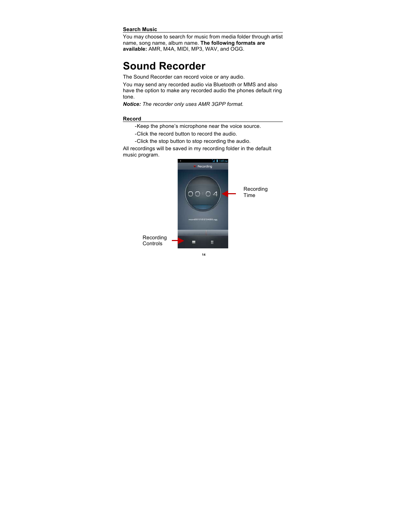#### **Search Music**

You may choose to search for music from media folder through artist name, song name, album name. **The following formats are available:** AMR, M4A, MIDI, MP3, WAV, and OGG.

## **Sound Recorder**

The Sound Recorder can record voice or any audio.

You may send any recorded audio via Bluetooth or MMS and also have the option to make any recorded audio the phones default ring tone.

*Notice: The recorder only uses AMR 3GPP format.*

#### **Record**

-Keep the phone's microphone near the voice source.

- -Click the record button to record the audio.
- -Click the stop button to stop recording the audio.

All recordings will be saved in my recording folder in the default music program.

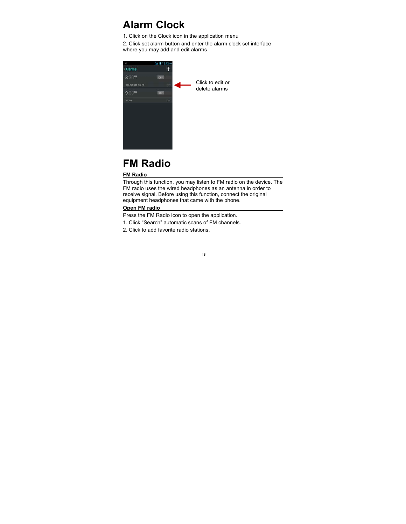## **Alarm Clock**

1. Click on the Clock icon in the application menu

2. Click set alarm button and enter the alarm clock set interface where you may add and edit alarms



## **FM Radio**

### **FM Radio**

Through this function, you may listen to FM radio on the device. The FM radio uses the wired headphones as an antenna in order to receive signal. Before using this function, connect the original equipment headphones that came with the phone.

### **Open FM radio**

Press the FM Radio icon to open the application.

- 1. Click "Search" automatic scans of FM channels.
- 2. Click to add favorite radio stations.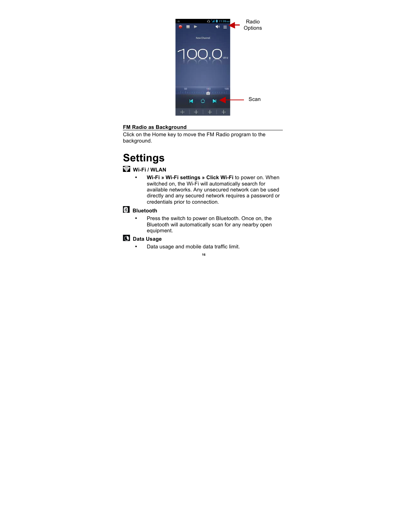

#### **FM Radio as Background**

Click on the Home key to move the FM Radio program to the background.

## **Settings**

### **Wi-Fi / WLAN**

• **Wi-Fi » Wi-Fi settings » Click Wi-Fi** to power on. When switched on, the Wi-Fi will automatically search for available networks. Any unsecured network can be used directly and any secured network requires a password or credentials prior to connection.

### **Bluetooth**

• Press the switch to power on Bluetooth. Once on, the Bluetooth will automatically scan for any nearby open equipment.

### **Data Usage**

• Data usage and mobile data traffic limit.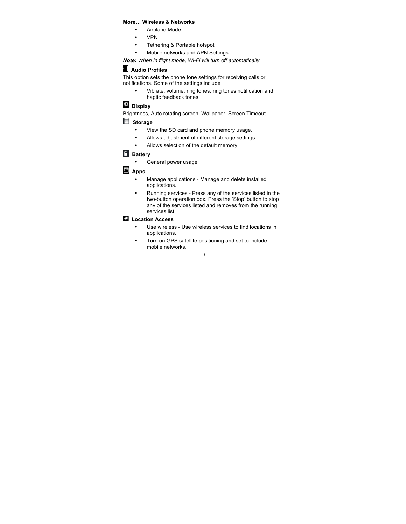### **More… Wireless & Networks**

- Airplane Mode
- VPN
- Tethering & Portable hotspot
	- Mobile networks and APN Settings

*Note: When in flight mode, Wi-Fi will turn off automatically.*

### **Audio Profiles**

This option sets the phone tone settings for receiving calls or notifications. Some of the settings include

- Vibrate, volume, ring tones, ring tones notification and haptic feedback tones
- **Display**

Brightness, Auto rotating screen, Wallpaper, Screen Timeout

### **Storage**

- View the SD card and phone memory usage.
- Allows adjustment of different storage settings.
- Allows selection of the default memory.

### **Battery**

• General power usage

### **Apps**

- Manage applications Manage and delete installed applications.
- Running services Press any of the services listed in the two-button operation box. Press the 'Stop' button to stop any of the services listed and removes from the running services list.

### **Location Access**

- Use wireless Use wireless services to find locations in applications.
- Turn on GPS satellite positioning and set to include mobile networks.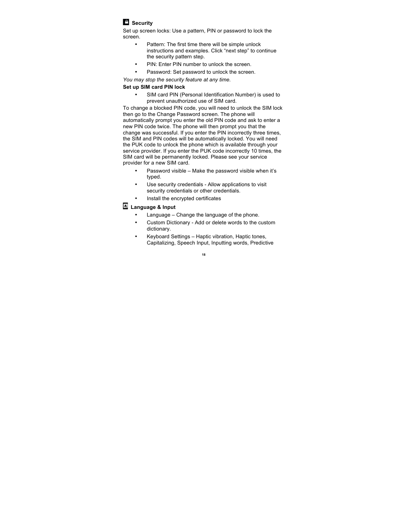### **C** Security

Set up screen locks: Use a pattern, PIN or password to lock the screen.

- Pattern: The first time there will be simple unlock instructions and examples. Click "next step" to continue the security pattern step.
- PIN: Enter PIN number to unlock the screen.
- Password: Set password to unlock the screen.

*You may stop the security feature at any time.*

### **Set up SIM card PIN lock**

SIM card PIN (Personal Identification Number) is used to prevent unauthorized use of SIM card.

To change a blocked PIN code, you will need to unlock the SIM lock then go to the Change Password screen. The phone will automatically prompt you enter the old PIN code and ask to enter a new PIN code twice. The phone will then prompt you that the change was successful. If you enter the PIN incorrectly three times, the SIM and PIN codes will be automatically locked. You will need the PUK code to unlock the phone which is available through your service provider. If you enter the PUK code incorrectly 10 times, the SIM card will be permanently locked. Please see your service provider for a new SIM card.

- Password visible Make the password visible when it's typed.
- Use security credentials Allow applications to visit security credentials or other credentials.
- Install the encrypted certificates

### **Language & Input**

- Language Change the language of the phone.
- Custom Dictionary Add or delete words to the custom dictionary.
- Keyboard Settings Haptic vibration, Haptic tones, Capitalizing, Speech Input, Inputting words, Predictive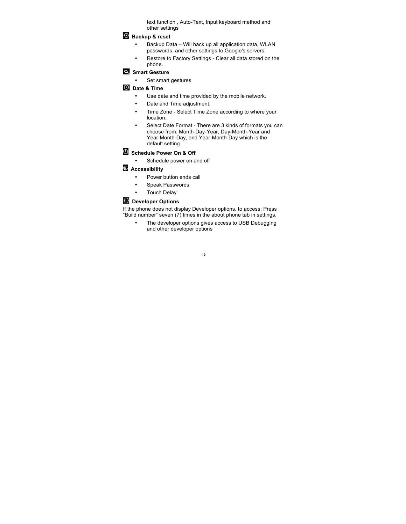text function , Auto-Text, Input keyboard method and other settings

### **Backup & reset**

- Backup Data Will back up all application data, WLAN passwords, and other settings to Google's servers
- Restore to Factory Settings Clear all data stored on the phone.

### **Smart Gesture**

• Set smart gestures

### **Date & Time**

- Use date and time provided by the mobile network.
- Date and Time adjustment.
- Time Zone Select Time Zone according to where your location.
- Select Date Format There are 3 kinds of formats you can choose from: Month-Day-Year, Day-Month-Year and Year-Month-Day, and Year-Month-Day which is the default setting

### **Schedule Power On & Off**

Schedule power on and off

### **Accessibility**

- Power button ends call
- Speak Passwords
- Touch Delay

### **Developer Options**

If the phone does not display Developer options, to access: Press "Build number" seven (7) times in the about phone tab in settings.

> The developer options gives access to USB Debugging and other developer options